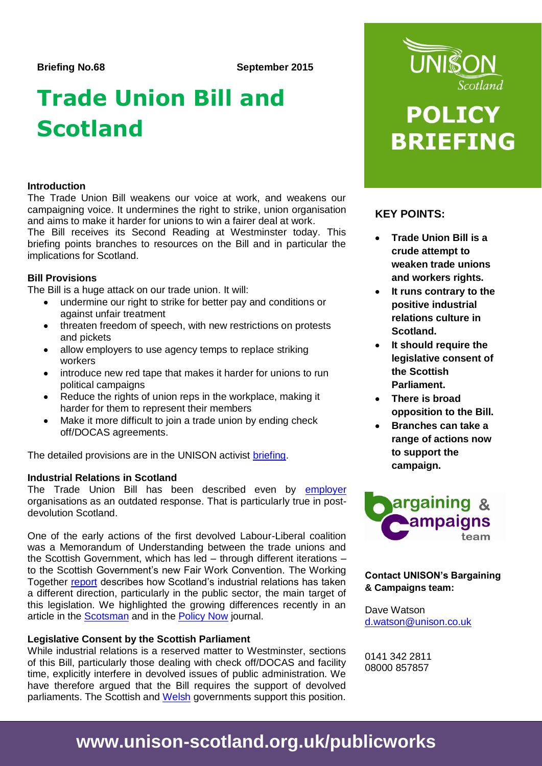# **Trade Union Bill and Scotland**

### **Introduction**

The Trade Union Bill weakens our voice at work, and weakens our campaigning voice. It undermines the right to strike, union organisation and aims to make it harder for unions to win a fairer deal at work.

The Bill receives its Second Reading at Westminster today. This briefing points branches to resources on the Bill and in particular the implications for Scotland.

# **Bill Provisions**

The Bill is a huge attack on our trade union. It will:

- undermine our right to strike for better pay and conditions or against unfair treatment
- threaten freedom of speech, with new restrictions on protests and pickets
- allow employers to use agency temps to replace striking workers
- introduce new red tape that makes it harder for unions to run political campaigns
- Reduce the rights of union reps in the workplace, making it harder for them to represent their members
- Make it more difficult to join a trade union by ending check off/DOCAS agreements.

The detailed provisions are in the UNISON activist [briefing.](https://www.unison.org.uk/content/uploads/2015/09/Activist-briefing-final-with-logo.pdf)

# **Industrial Relations in Scotland**

The Trade Union Bill has been described even by [employer](http://www.cipd.co.uk/pm/peoplemanagement/b/weblog/archive/2015/09/09/trade-union-reforms-are-outdated-response-warns-cipd.aspx) organisations as an outdated response. That is particularly true in postdevolution Scotland.

One of the early actions of the first devolved Labour-Liberal coalition was a Memorandum of Understanding between the trade unions and the Scottish Government, which has led – through different iterations – to the Scottish Government's new Fair Work Convention. The Working Together [report](http://www.gov.scot/Publications/2014/08/4647) describes how Scotland's industrial relations has taken a different direction, particularly in the public sector, the main target of this legislation. We highlighted the growing differences recently in an article in the [Scotsman](http://www.scotsman.com/news/workers-rights-gulf-opening-up-in-uk-1-3873869) and in the [Policy Now](http://www.scottishpolicynow.co.uk/article/workers-rights-in-scotland) journal.

# **Legislative Consent by the Scottish Parliament**

While industrial relations is a reserved matter to Westminster, sections of this Bill, particularly those dealing with check off/DOCAS and facility time, explicitly interfere in devolved issues of public administration. We have therefore argued that the Bill requires the support of devolved parliaments. The Scottish and [Welsh](http://gov.wales/about/cabinet/cabinetstatements/2015/tradeunionbill/?lang=en) governments support this position.



# **POLICY BRIEFING**

# **KEY POINTS:**

- **Trade Union Bill is a crude attempt to weaken trade unions and workers rights.**
- **It runs contrary to the positive industrial relations culture in Scotland.**
- **It should require the legislative consent of the Scottish Parliament.**
- **There is broad opposition to the Bill.**
- **Branches can take a range of actions now to support the campaign.**



# **Contact UNISON's Bargaining & Campaigns team:**

Dave Watson [d.watson@unison.co.uk](mailto:d.watson@unison.co.uk)

0141 342 2811 08000 857857

# **www.unison-scotland.org.uk/publicworks**